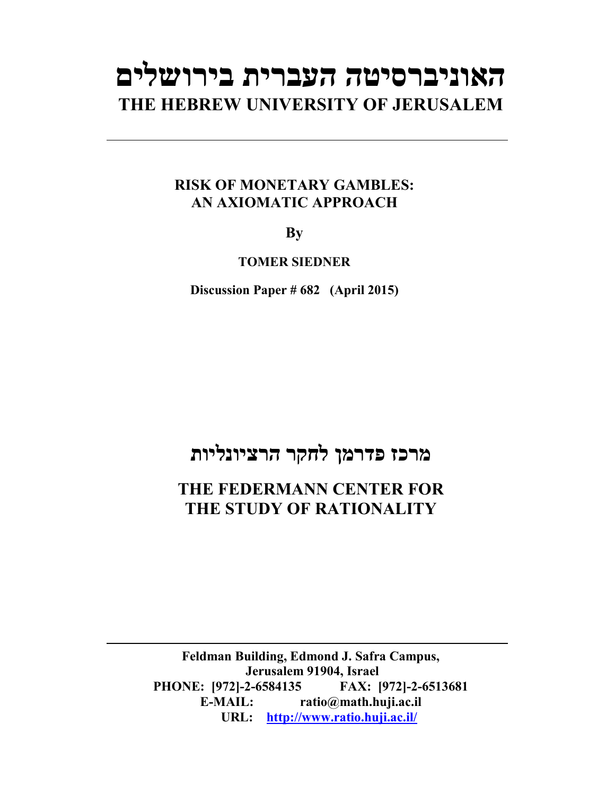# **האוניברסיטה העברית בירושלים THE HEBREW UNIVERSITY OF JERUSALEM**

### **RISK OF MONETARY GAMBLES: AN AXIOMATIC APPROACH**

**By**

**TOMER SIEDNER**

**Discussion Paper # 682 (April 2015)**

## **מרכז פדרמן לחקר הרציונליות**

### **THE FEDERMANN CENTER FOR THE STUDY OF RATIONALITY**

**Feldman Building, Edmond J. Safra Campus, Jerusalem 91904, Israel PHONE: [972]-2-6584135 FAX: [972]-2-6513681 E-MAIL: ratio@math.huji.ac.il URL: http://www.ratio.huji.ac.il/**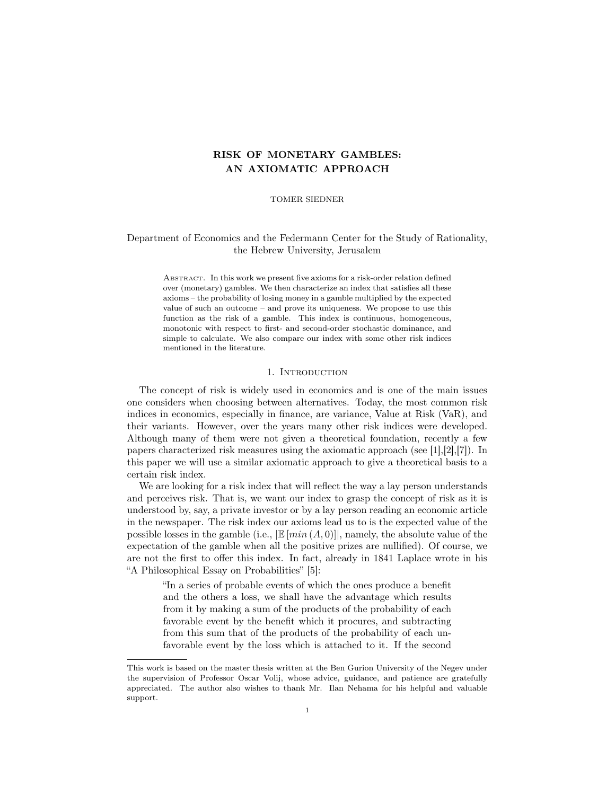#### RISK OF MONETARY GAMBLES: AN AXIOMATIC APPROACH

TOMER SIEDNER

#### Department of Economics and the Federmann Center for the Study of Rationality, the Hebrew University, Jerusalem

Abstract. In this work we present five axioms for a risk-order relation defined over (monetary) gambles. We then characterize an index that satisfies all these axioms – the probability of losing money in a gamble multiplied by the expected value of such an outcome – and prove its uniqueness. We propose to use this function as the risk of a gamble. This index is continuous, homogeneous, monotonic with respect to first- and second-order stochastic dominance, and simple to calculate. We also compare our index with some other risk indices mentioned in the literature.

#### 1. INTRODUCTION

The concept of risk is widely used in economics and is one of the main issues one considers when choosing between alternatives. Today, the most common risk indices in economics, especially in finance, are variance, Value at Risk (VaR), and their variants. However, over the years many other risk indices were developed. Although many of them were not given a theoretical foundation, recently a few papers characterized risk measures using the axiomatic approach (see [1],[2],[7]). In this paper we will use a similar axiomatic approach to give a theoretical basis to a certain risk index.

We are looking for a risk index that will reflect the way a lay person understands and perceives risk. That is, we want our index to grasp the concept of risk as it is understood by, say, a private investor or by a lay person reading an economic article in the newspaper. The risk index our axioms lead us to is the expected value of the possible losses in the gamble (i.e.,  $\mathbb{E}[min(A, 0)]$ ), namely, the absolute value of the expectation of the gamble when all the positive prizes are nullified). Of course, we are not the first to offer this index. In fact, already in 1841 Laplace wrote in his "A Philosophical Essay on Probabilities" [5]:

"In a series of probable events of which the ones produce a benefit and the others a loss, we shall have the advantage which results from it by making a sum of the products of the probability of each favorable event by the benefit which it procures, and subtracting from this sum that of the products of the probability of each unfavorable event by the loss which is attached to it. If the second

This work is based on the master thesis written at the Ben Gurion University of the Negev under the supervision of Professor Oscar Volij, whose advice, guidance, and patience are gratefully appreciated. The author also wishes to thank Mr. Ilan Nehama for his helpful and valuable support.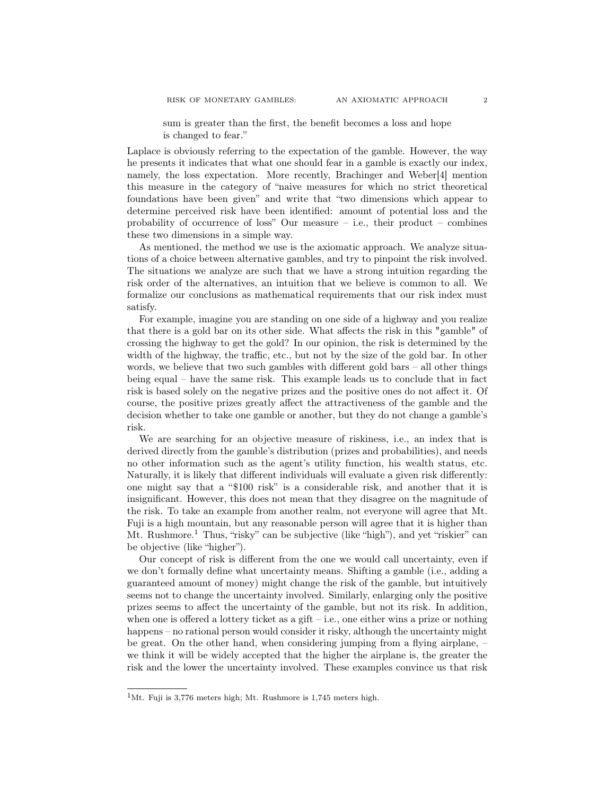sum is greater than the first, the benefit becomes a loss and hope is changed to fear."

Laplace is obviously referring to the expectation of the gamble. However, the way he presents it indicates that what one should fear in a gamble is exactly our index, namely, the loss expectation. More recently, Brachinger and Weber[4] mention this measure in the category of "naive measures for which no strict theoretical foundations have been given" and write that "two dimensions which appear to determine perceived risk have been identified: amount of potential loss and the probability of occurrence of loss" Our measure  $-$  i.e., their product  $-$  combines these two dimensions in a simple way.

As mentioned, the method we use is the axiomatic approach. We analyze situations of a choice between alternative gambles, and try to pinpoint the risk involved. The situations we analyze are such that we have a strong intuition regarding the risk order of the alternatives, an intuition that we believe is common to all. We formalize our conclusions as mathematical requirements that our risk index must satisfy.

For example, imagine you are standing on one side of a highway and you realize that there is a gold bar on its other side. What affects the risk in this "gamble" of crossing the highway to get the gold? In our opinion, the risk is determined by the width of the highway, the traffic, etc., but not by the size of the gold bar. In other words, we believe that two such gambles with different gold bars – all other things being equal – have the same risk. This example leads us to conclude that in fact risk is based solely on the negative prizes and the positive ones do not affect it. Of course, the positive prizes greatly affect the attractiveness of the gamble and the decision whether to take one gamble or another, but they do not change a gamble's risk.

We are searching for an objective measure of riskiness, i.e., an index that is derived directly from the gamble's distribution (prizes and probabilities), and needs no other information such as the agent's utility function, his wealth status, etc. Naturally, it is likely that different individuals will evaluate a given risk differently: one might say that a "\$100 risk" is a considerable risk, and another that it is insignificant. However, this does not mean that they disagree on the magnitude of the risk. To take an example from another realm, not everyone will agree that Mt. Fuji is a high mountain, but any reasonable person will agree that it is higher than Mt. Rushmore.<sup>1</sup> Thus, "risky" can be subjective (like "high"), and yet "riskier" can be objective (like "higher").

Our concept of risk is different from the one we would call uncertainty, even if we don't formally define what uncertainty means. Shifting a gamble (i.e., adding a guaranteed amount of money) might change the risk of the gamble, but intuitively seems not to change the uncertainty involved. Similarly, enlarging only the positive prizes seems to affect the uncertainty of the gamble, but not its risk. In addition, when one is offered a lottery ticket as a gift – i.e., one either wins a prize or nothing happens – no rational person would consider it risky, although the uncertainty might be great. On the other hand, when considering jumping from a flying airplane, – we think it will be widely accepted that the higher the airplane is, the greater the risk and the lower the uncertainty involved. These examples convince us that risk

<sup>&</sup>lt;sup>1</sup>Mt. Fuji is 3,776 meters high; Mt. Rushmore is  $1,745$  meters high.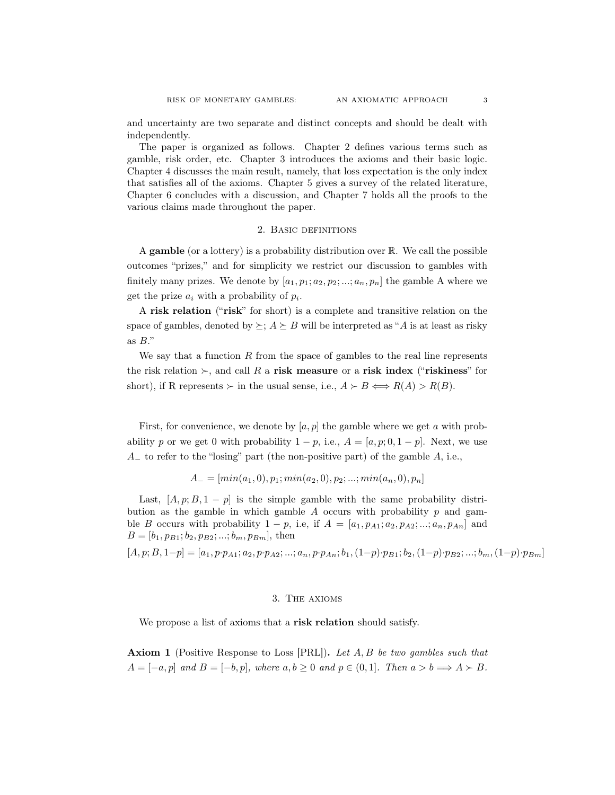and uncertainty are two separate and distinct concepts and should be dealt with independently.

The paper is organized as follows. Chapter 2 defines various terms such as gamble, risk order, etc. Chapter 3 introduces the axioms and their basic logic. Chapter 4 discusses the main result, namely, that loss expectation is the only index that satisfies all of the axioms. Chapter 5 gives a survey of the related literature, Chapter 6 concludes with a discussion, and Chapter 7 holds all the proofs to the various claims made throughout the paper.

#### 2. Basic definitions

A gamble (or a lottery) is a probability distribution over R. We call the possible outcomes "prizes," and for simplicity we restrict our discussion to gambles with finitely many prizes. We denote by  $[a_1, p_1; a_2, p_2; ...; a_n, p_n]$  the gamble A where we get the prize  $a_i$  with a probability of  $p_i$ .

A risk relation ("risk" for short) is a complete and transitive relation on the space of gambles, denoted by  $\succeq$ ;  $A \succeq B$  will be interpreted as "A is at least as risky as  $B$ ."

We say that a function  $R$  from the space of gambles to the real line represents the risk relation  $\succ$ , and call R a risk measure or a risk index ("riskiness" for short), if R represents  $\succ$  in the usual sense, i.e.,  $A \succ B \Longleftrightarrow R(A) > R(B)$ .

First, for convenience, we denote by  $[a, p]$  the gamble where we get a with probability p or we get 0 with probability  $1 - p$ , i.e.,  $A = [a, p; 0, 1 - p]$ . Next, we use  $A_$  to refer to the "losing" part (the non-positive part) of the gamble  $A$ , i.e.,

$$
A_{-} = [min(a_1, 0), p_1; min(a_2, 0), p_2; ...; min(a_n, 0), p_n]
$$

Last,  $[A, p; B, 1-p]$  is the simple gamble with the same probability distribution as the gamble in which gamble  $A$  occurs with probability  $p$  and gamble B occurs with probability  $1 - p$ , i.e, if  $A = [a_1, p_{A1}; a_2, p_{A2}; ...; a_n, p_{An}]$  and  $B = [b_1, p_{B1}; b_2, p_{B2}; ...; b_m, p_{Bm}],$  then

 $[A, p; B, 1-p] = [a_1, p \cdot p_{A1}; a_2, p \cdot p_{A2}; ...; a_n, p \cdot p_{An}; b_1, (1-p) \cdot p_{B1}; b_2, (1-p) \cdot p_{B2}; ...; b_m, (1-p) \cdot p_{Bm}]$ 

#### 3. The axioms

We propose a list of axioms that a risk relation should satisfy.

**Axiom 1** (Positive Response to Loss [PRL]). Let  $A, B$  be two gambles such that  $A = [-a, p]$  and  $B = [-b, p]$ , where  $a, b \ge 0$  and  $p \in (0, 1]$ . Then  $a > b \Longrightarrow A \succ B$ .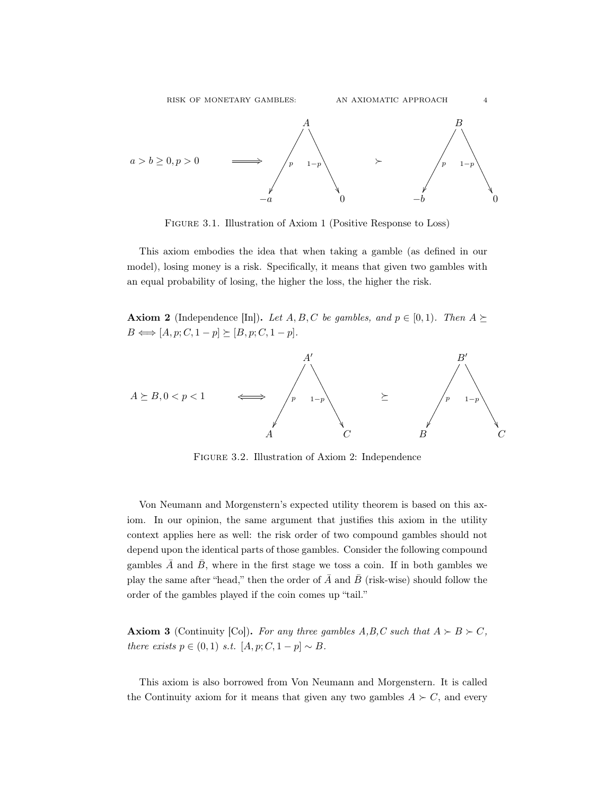

Figure 3.1. Illustration of Axiom 1 (Positive Response to Loss)

This axiom embodies the idea that when taking a gamble (as defined in our model), losing money is a risk. Specifically, it means that given two gambles with an equal probability of losing, the higher the loss, the higher the risk.

**Axiom 2** (Independence [In]). Let A, B, C be gambles, and  $p \in [0, 1)$ . Then  $A \succeq$  $B \Longleftrightarrow [A, p; C, 1-p] \succeq [B, p; C, 1-p].$ 



Figure 3.2. Illustration of Axiom 2: Independence

Von Neumann and Morgenstern's expected utility theorem is based on this axiom. In our opinion, the same argument that justifies this axiom in the utility context applies here as well: the risk order of two compound gambles should not depend upon the identical parts of those gambles. Consider the following compound gambles  $\overline{A}$  and  $\overline{B}$ , where in the first stage we toss a coin. If in both gambles we play the same after "head," then the order of  $\overline{A}$  and  $\overline{B}$  (risk-wise) should follow the order of the gambles played if the coin comes up "tail."

**Axiom 3** (Continuity [Co]). For any three gambles A,B,C such that  $A \succ B \succ C$ , there exists  $p \in (0,1)$  s.t.  $[A, p; C, 1-p] \sim B$ .

This axiom is also borrowed from Von Neumann and Morgenstern. It is called the Continuity axiom for it means that given any two gambles  $A \succ C$ , and every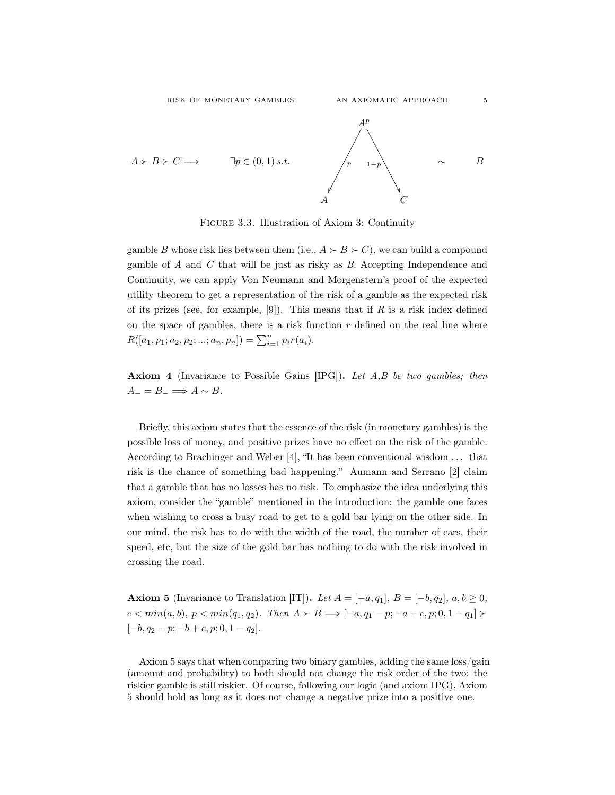

Figure 3.3. Illustration of Axiom 3: Continuity

gamble B whose risk lies between them (i.e.,  $A \succ B \succ C$ ), we can build a compound gamble of A and C that will be just as risky as B. Accepting Independence and Continuity, we can apply Von Neumann and Morgenstern's proof of the expected utility theorem to get a representation of the risk of a gamble as the expected risk of its prizes (see, for example,  $[9]$ ). This means that if R is a risk index defined on the space of gambles, there is a risk function  $r$  defined on the real line where  $R([a_1, p_1; a_2, p_2; ...; a_n, p_n]) = \sum_{i=1}^n p_i r(a_i).$ 

Axiom 4 (Invariance to Possible Gains [IPG]). Let A,B be two gambles; then  $A_-=B_-\Longrightarrow A\sim B.$ 

Briefly, this axiom states that the essence of the risk (in monetary gambles) is the possible loss of money, and positive prizes have no effect on the risk of the gamble. According to Brachinger and Weber [4], "It has been conventional wisdom . . . that risk is the chance of something bad happening." Aumann and Serrano [2] claim that a gamble that has no losses has no risk. To emphasize the idea underlying this axiom, consider the "gamble" mentioned in the introduction: the gamble one faces when wishing to cross a busy road to get to a gold bar lying on the other side. In our mind, the risk has to do with the width of the road, the number of cars, their speed, etc, but the size of the gold bar has nothing to do with the risk involved in crossing the road.

**Axiom 5** (Invariance to Translation [IT]). Let  $A = [-a, q_1], B = [-b, q_2], a, b \ge 0$ ,  $c < min(a, b), p < min(q_1, q_2)$ . Then  $A \succ B \Longrightarrow [-a, q_1 - p; -a + c, p; 0, 1 - q_1] \succ$  $[-b, q_2 - p; -b + c, p; 0, 1 - q_2].$ 

Axiom 5 says that when comparing two binary gambles, adding the same loss/gain (amount and probability) to both should not change the risk order of the two: the riskier gamble is still riskier. Of course, following our logic (and axiom IPG), Axiom 5 should hold as long as it does not change a negative prize into a positive one.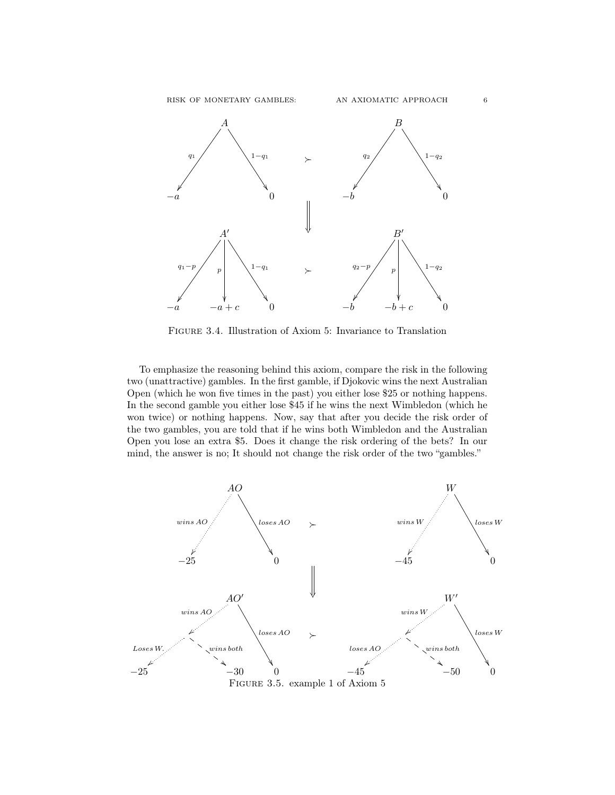

Figure 3.4. Illustration of Axiom 5: Invariance to Translation

To emphasize the reasoning behind this axiom, compare the risk in the following two (unattractive) gambles. In the first gamble, if Djokovic wins the next Australian Open (which he won five times in the past) you either lose \$25 or nothing happens. In the second gamble you either lose \$45 if he wins the next Wimbledon (which he won twice) or nothing happens. Now, say that after you decide the risk order of the two gambles, you are told that if he wins both Wimbledon and the Australian Open you lose an extra \$5. Does it change the risk ordering of the bets? In our mind, the answer is no; It should not change the risk order of the two "gambles."

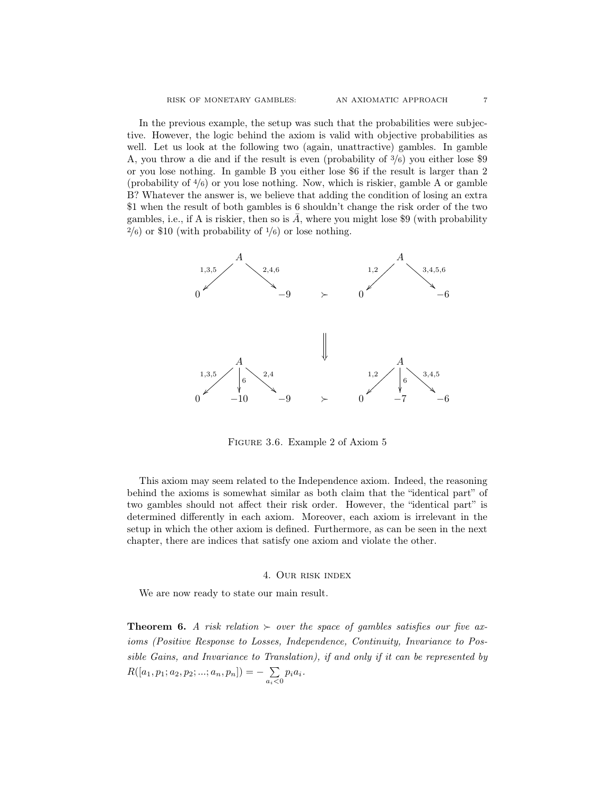In the previous example, the setup was such that the probabilities were subjective. However, the logic behind the axiom is valid with objective probabilities as well. Let us look at the following two (again, unattractive) gambles. In gamble A, you throw a die and if the result is even (probability of <sup>3</sup>/6) you either lose \$9 or you lose nothing. In gamble B you either lose \$6 if the result is larger than 2 (probability of <sup>4</sup>/6) or you lose nothing. Now, which is riskier, gamble A or gamble B? Whatever the answer is, we believe that adding the condition of losing an extra \$1 when the result of both gambles is 6 shouldn't change the risk order of the two gambles, i.e., if A is riskier, then so is  $\overline{A}$ , where you might lose \$9 (with probability  $^{2}/_{6}$ ) or \$10 (with probability of  $^{1}/_{6}$ ) or lose nothing.



Figure 3.6. Example 2 of Axiom 5

This axiom may seem related to the Independence axiom. Indeed, the reasoning behind the axioms is somewhat similar as both claim that the "identical part" of two gambles should not affect their risk order. However, the "identical part" is determined differently in each axiom. Moreover, each axiom is irrelevant in the setup in which the other axiom is defined. Furthermore, as can be seen in the next chapter, there are indices that satisfy one axiom and violate the other.

#### 4. Our risk index

We are now ready to state our main result.

**Theorem 6.** A risk relation  $\succ$  over the space of gambles satisfies our five axioms (Positive Response to Losses, Independence, Continuity, Invariance to Possible Gains, and Invariance to Translation), if and only if it can be represented by  $R([a_1, p_1; a_2, p_2; ...; a_n, p_n]) = - \sum$  $\sum_{a_i<0} p_i a_i.$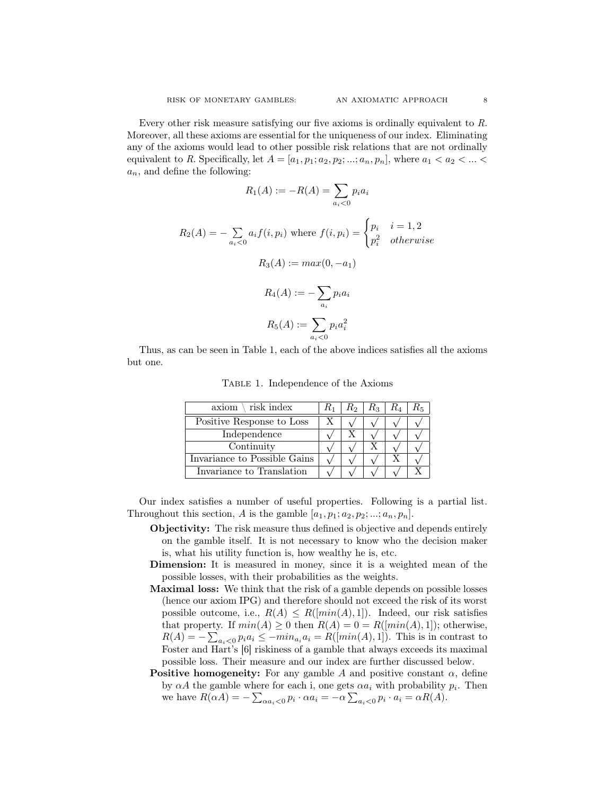X

X

Every other risk measure satisfying our five axioms is ordinally equivalent to R. Moreover, all these axioms are essential for the uniqueness of our index. Eliminating any of the axioms would lead to other possible risk relations that are not ordinally equivalent to R. Specifically, let  $A = [a_1, p_1; a_2, p_2; \dots; a_n, p_n]$ , where  $a_1 < a_2 < \dots < a_n$  $a_n$ , and define the following:

$$
R_1(A) := -R(A) = \sum_{a_i < 0} p_i a_i
$$
\n
$$
R_2(A) = -\sum_{a_i < 0} a_i f(i, p_i) \text{ where } f(i, p_i) = \begin{cases} p_i & i = 1, 2\\ p_i^2 & otherwise \end{cases}
$$
\n
$$
R_3(A) := \max(0, -a_1)
$$
\n
$$
R_4(A) := -\sum_{a_i} p_i a_i
$$
\n
$$
R_5(A) := \sum_{a_i < 0} p_i a_i^2
$$

Thus, as can be seen in Table 1, each of the above indices satisfies all the axioms but one.

| $axiom \setminus risk\ index$ | $R_2$ | $R_{3-}$ | R, |
|-------------------------------|-------|----------|----|
| Positive Response to Loss     |       |          |    |
| Independence                  |       |          |    |
| Continuity                    |       |          |    |
| Invariance to Possible Gains. |       |          |    |

Invariance to Possible Gains

Invariance to Translation

TABLE 1. Independence of the Axioms

Our index satisfies a number of useful properties. Following is a partial list. Throughout this section, A is the gamble  $[a_1, p_1; a_2, p_2; ...; a_n, p_n]$ .

- Objectivity: The risk measure thus defined is objective and depends entirely on the gamble itself. It is not necessary to know who the decision maker is, what his utility function is, how wealthy he is, etc.
- Dimension: It is measured in money, since it is a weighted mean of the possible losses, with their probabilities as the weights.
- Maximal loss: We think that the risk of a gamble depends on possible losses (hence our axiom IPG) and therefore should not exceed the risk of its worst possible outcome, i.e.,  $R(A) \leq R(\min(A), 1]$ . Indeed, our risk satisfies that property. If  $min(A) \geq 0$  then  $R(A) = 0 = R(\lceil min(A), 1 \rceil)$ ; otherwise,  $R(A) = -\sum_{a_i < 0} p_i a_i \le -\min_{a_i} a_i = R([\min(A), 1])$ . This is in contrast to Foster and Hart's [6] riskiness of a gamble that always exceeds its maximal possible loss. Their measure and our index are further discussed below.
- **Positive homogeneity:** For any gamble A and positive constant  $\alpha$ , define by  $\alpha A$  the gamble where for each i, one gets  $\alpha a_i$  with probability  $p_i$ . Then we have  $R(\alpha A) = -\sum_{\alpha a_i < 0} p_i \cdot \alpha a_i = -\alpha \sum_{a_i < 0} p_i \cdot a_i = \alpha R(A)$ .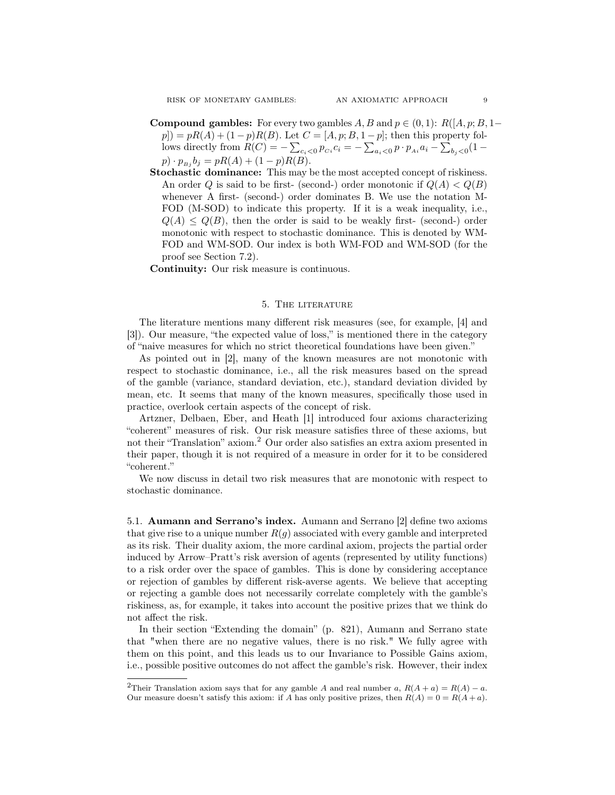RISK OF MONETARY GAMBLES: AN AXIOMATIC APPROACH 9

- **Compound gambles:** For every two gambles A, B and  $p \in (0,1)$ :  $R([A, p; B, 1-\mathbb{R}])$  $p$ ]) =  $pR(A) + (1-p)R(B)$ . Let  $C = [A, p; B, 1-p]$ ; then this property follows directly from  $R(C) = -\sum_{c_i < 0} p_{c_i} c_i = -\sum_{a_i < 0} p \cdot p_{a_i} a_i - \sum_{b_j < 0} (1 p) \cdot p_{B_j} b_j = pR(A) + (1-p)R(B).$
- Stochastic dominance: This may be the most accepted concept of riskiness. An order Q is said to be first- (second-) order monotonic if  $Q(A) < Q(B)$ whenever A first- (second-) order dominates B. We use the notation M-FOD (M-SOD) to indicate this property. If it is a weak inequality, i.e.,  $Q(A) \leq Q(B)$ , then the order is said to be weakly first- (second-) order monotonic with respect to stochastic dominance. This is denoted by WM-FOD and WM-SOD. Our index is both WM-FOD and WM-SOD (for the proof see Section 7.2).

Continuity: Our risk measure is continuous.

#### 5. The literature

The literature mentions many different risk measures (see, for example, [4] and [3]). Our measure, "the expected value of loss," is mentioned there in the category of "naive measures for which no strict theoretical foundations have been given."

As pointed out in [2], many of the known measures are not monotonic with respect to stochastic dominance, i.e., all the risk measures based on the spread of the gamble (variance, standard deviation, etc.), standard deviation divided by mean, etc. It seems that many of the known measures, specifically those used in practice, overlook certain aspects of the concept of risk.

Artzner, Delbaen, Eber, and Heath [1] introduced four axioms characterizing "coherent" measures of risk. Our risk measure satisfies three of these axioms, but not their "Translation" axiom.<sup>2</sup> Our order also satisfies an extra axiom presented in their paper, though it is not required of a measure in order for it to be considered "coherent."

We now discuss in detail two risk measures that are monotonic with respect to stochastic dominance.

5.1. Aumann and Serrano's index. Aumann and Serrano [2] define two axioms that give rise to a unique number  $R(g)$  associated with every gamble and interpreted as its risk. Their duality axiom, the more cardinal axiom, projects the partial order induced by Arrow–Pratt's risk aversion of agents (represented by utility functions) to a risk order over the space of gambles. This is done by considering acceptance or rejection of gambles by different risk-averse agents. We believe that accepting or rejecting a gamble does not necessarily correlate completely with the gamble's riskiness, as, for example, it takes into account the positive prizes that we think do not affect the risk.

In their section "Extending the domain" (p. 821), Aumann and Serrano state that "when there are no negative values, there is no risk." We fully agree with them on this point, and this leads us to our Invariance to Possible Gains axiom, i.e., possible positive outcomes do not affect the gamble's risk. However, their index

<sup>&</sup>lt;sup>2</sup>Their Translation axiom says that for any gamble A and real number a,  $R(A + a) = R(A) - a$ . Our measure doesn't satisfy this axiom: if A has only positive prizes, then  $R(A) = 0 = R(A + a)$ .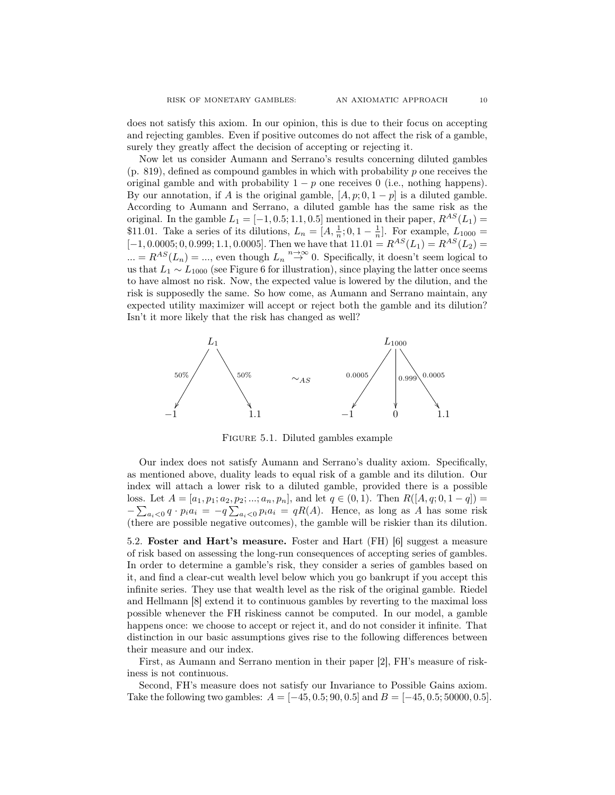does not satisfy this axiom. In our opinion, this is due to their focus on accepting and rejecting gambles. Even if positive outcomes do not affect the risk of a gamble, surely they greatly affect the decision of accepting or rejecting it.

Now let us consider Aumann and Serrano's results concerning diluted gambles  $(p. 819)$ , defined as compound gambles in which with probability p one receives the original gamble and with probability  $1 - p$  one receives 0 (i.e., nothing happens). By our annotation, if A is the original gamble,  $[A, p; 0, 1-p]$  is a diluted gamble. According to Aumann and Serrano, a diluted gamble has the same risk as the original. In the gamble  $L_1 = [-1, 0.5; 1.1, 0.5]$  mentioned in their paper,  $R^{AS}(L_1)$ \$11.01. Take a series of its dilutions,  $L_n = [A, \frac{1}{n}; 0, 1 - \frac{1}{n}]$ . For example,  $L_{1000} =$  $[-1, 0.0005; 0, 0.999; 1.1, 0.0005]$ . Then we have that  $11.01 = R^{AS}(L_1) = R^{AS}(L_2) =$  $L_n = R^{AS}(L_n) = \dots$ , even though  $L_n \stackrel{n \to \infty}{\to} 0$ . Specifically, it doesn't seem logical to us that  $L_1 \sim L_{1000}$  (see Figure 6 for illustration), since playing the latter once seems to have almost no risk. Now, the expected value is lowered by the dilution, and the risk is supposedly the same. So how come, as Aumann and Serrano maintain, any expected utility maximizer will accept or reject both the gamble and its dilution? Isn't it more likely that the risk has changed as well?



Figure 5.1. Diluted gambles example

Our index does not satisfy Aumann and Serrano's duality axiom. Specifically, as mentioned above, duality leads to equal risk of a gamble and its dilution. Our index will attach a lower risk to a diluted gamble, provided there is a possible loss. Let  $A = [a_1, p_1; a_2, p_2; ...; a_n, p_n]$ , and let  $q \in (0, 1)$ . Then  $R([A, q; 0, 1 - q]) =$  $-\sum_{a_i<0} q \cdot p_i a_i = -q \sum_{a_i<0} p_i a_i = qR(A)$ . Hence, as long as A has some risk (there are possible negative outcomes), the gamble will be riskier than its dilution.

5.2. Foster and Hart's measure. Foster and Hart (FH) [6] suggest a measure of risk based on assessing the long-run consequences of accepting series of gambles. In order to determine a gamble's risk, they consider a series of gambles based on it, and find a clear-cut wealth level below which you go bankrupt if you accept this infinite series. They use that wealth level as the risk of the original gamble. Riedel and Hellmann [8] extend it to continuous gambles by reverting to the maximal loss possible whenever the FH riskiness cannot be computed. In our model, a gamble happens once: we choose to accept or reject it, and do not consider it infinite. That distinction in our basic assumptions gives rise to the following differences between their measure and our index.

First, as Aumann and Serrano mention in their paper [2], FH's measure of riskiness is not continuous.

Second, FH's measure does not satisfy our Invariance to Possible Gains axiom. Take the following two gambles:  $A = [-45, 0.5; 90, 0.5]$  and  $B = [-45, 0.5; 50000, 0.5]$ .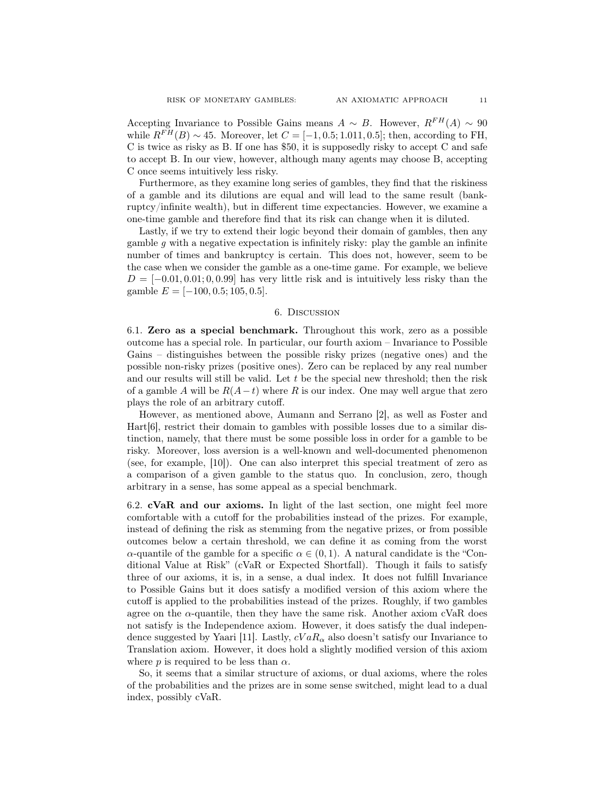Accepting Invariance to Possible Gains means  $A \sim B$ . However,  $R^{FH}(A) \sim 90$ while  $R^{FH}(B) \sim 45$ . Moreover, let  $C = [-1, 0.5; 1.011, 0.5]$ ; then, according to FH, C is twice as risky as B. If one has \$50, it is supposedly risky to accept C and safe to accept B. In our view, however, although many agents may choose B, accepting C once seems intuitively less risky.

Furthermore, as they examine long series of gambles, they find that the riskiness of a gamble and its dilutions are equal and will lead to the same result (bankruptcy/infinite wealth), but in different time expectancies. However, we examine a one-time gamble and therefore find that its risk can change when it is diluted.

Lastly, if we try to extend their logic beyond their domain of gambles, then any gamble  $g$  with a negative expectation is infinitely risky: play the gamble an infinite number of times and bankruptcy is certain. This does not, however, seem to be the case when we consider the gamble as a one-time game. For example, we believe  $D = [-0.01, 0.01, 0.09]$  has very little risk and is intuitively less risky than the gamble  $E = [-100, 0.5; 105, 0.5]$ .

#### 6. Discussion

6.1. Zero as a special benchmark. Throughout this work, zero as a possible outcome has a special role. In particular, our fourth axiom – Invariance to Possible Gains – distinguishes between the possible risky prizes (negative ones) and the possible non-risky prizes (positive ones). Zero can be replaced by any real number and our results will still be valid. Let  $t$  be the special new threshold; then the risk of a gamble A will be  $R(A-t)$  where R is our index. One may well argue that zero plays the role of an arbitrary cutoff.

However, as mentioned above, Aumann and Serrano [2], as well as Foster and Hart[6], restrict their domain to gambles with possible losses due to a similar distinction, namely, that there must be some possible loss in order for a gamble to be risky. Moreover, loss aversion is a well-known and well-documented phenomenon (see, for example, [10]). One can also interpret this special treatment of zero as a comparison of a given gamble to the status quo. In conclusion, zero, though arbitrary in a sense, has some appeal as a special benchmark.

6.2. cVaR and our axioms. In light of the last section, one might feel more comfortable with a cutoff for the probabilities instead of the prizes. For example, instead of defining the risk as stemming from the negative prizes, or from possible outcomes below a certain threshold, we can define it as coming from the worst  $\alpha$ -quantile of the gamble for a specific  $\alpha \in (0,1)$ . A natural candidate is the "Conditional Value at Risk" (cVaR or Expected Shortfall). Though it fails to satisfy three of our axioms, it is, in a sense, a dual index. It does not fulfill Invariance to Possible Gains but it does satisfy a modified version of this axiom where the cutoff is applied to the probabilities instead of the prizes. Roughly, if two gambles agree on the  $\alpha$ -quantile, then they have the same risk. Another axiom cVaR does not satisfy is the Independence axiom. However, it does satisfy the dual independence suggested by Yaari [11]. Lastly,  $cVaR_{\alpha}$  also doesn't satisfy our Invariance to Translation axiom. However, it does hold a slightly modified version of this axiom where  $p$  is required to be less than  $\alpha$ .

So, it seems that a similar structure of axioms, or dual axioms, where the roles of the probabilities and the prizes are in some sense switched, might lead to a dual index, possibly cVaR.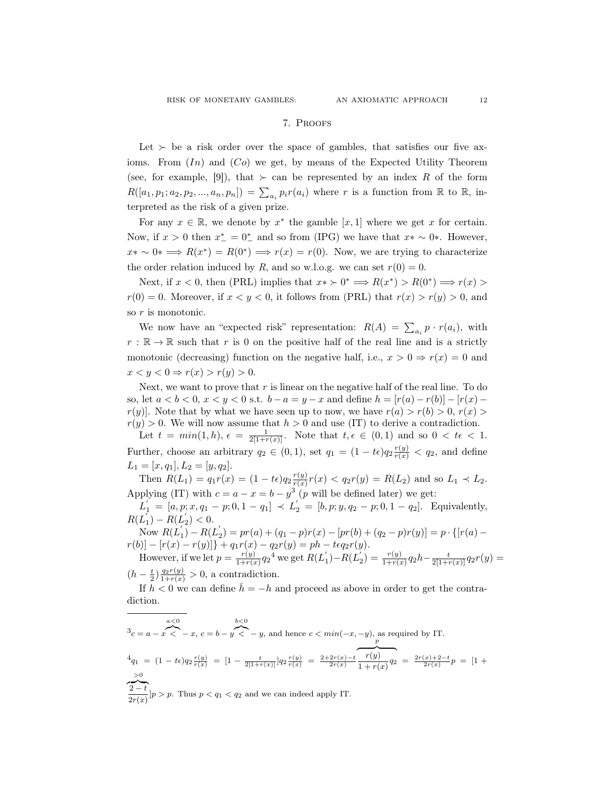#### 7. Proofs

Let  $\succ$  be a risk order over the space of gambles, that satisfies our five axioms. From  $(In)$  and  $(Co)$  we get, by means of the Expected Utility Theorem (see, for example, [9]), that  $\succ$  can be represented by an index R of the form  $R([a_1, p_1; a_2, p_2, ..., a_n, p_n]) = \sum_{a_i} p_i r(a_i)$  where r is a function from  $\mathbb R$  to  $\mathbb R$ , interpreted as the risk of a given prize.

For any  $x \in \mathbb{R}$ , we denote by  $x^*$  the gamble  $[x, 1]$  where we get x for certain. Now, if  $x > 0$  then  $x_{-}^{*} = 0_{-}^{*}$  and so from (IPG) we have that  $x * \sim 0*$ . However,  $x^* \sim 0^* \Longrightarrow R(x^*) = R(0^*) \Longrightarrow r(x) = r(0)$ . Now, we are trying to characterize the order relation induced by R, and so w.l.o.g. we can set  $r(0) = 0$ .

Next, if  $x < 0$ , then (PRL) implies that  $x \rightarrow 0^* \implies R(x^*) > R(0^*) \implies r(x) >$  $r(0) = 0$ . Moreover, if  $x < y < 0$ , it follows from (PRL) that  $r(x) > r(y) > 0$ , and so r is monotonic.

We now have an "expected risk" representation:  $R(A) = \sum_{a_i} p \cdot r(a_i)$ , with  $r : \mathbb{R} \to \mathbb{R}$  such that r is 0 on the positive half of the real line and is a strictly monotonic (decreasing) function on the negative half, i.e.,  $x > 0 \Rightarrow r(x) = 0$  and  $x < y < 0 \Rightarrow r(x) > r(y) > 0.$ 

Next, we want to prove that  $r$  is linear on the negative half of the real line. To do so, let  $a < b < 0$ ,  $x < y < 0$  s.t.  $b - a = y - x$  and define  $h = |r(a) - r(b)| - |r(x) - a|$  $r(y)$ . Note that by what we have seen up to now, we have  $r(a) > r(b) > 0$ ,  $r(x) > 0$  $r(y) > 0$ . We will now assume that  $h > 0$  and use (IT) to derive a contradiction.

Let  $t = min(1, h), \epsilon = \frac{1}{2[1+r(x)]}$ . Note that  $t, \epsilon \in (0, 1)$  and so  $0 < t\epsilon < 1$ . Further, choose an arbitrary  $q_2 \in (0,1)$ , set  $q_1 = (1 - te)q_2 \frac{r(y)}{r(x)} < q_2$ , and define  $L_1 = [x, q_1], L_2 = [y, q_2].$ 

Then  $R(L_1) = q_1 r(x) = (1 - t\epsilon) q_2 \frac{r(y)}{r(x)} r(x) < q_2 r(y) = R(L_2)$  and so  $L_1 \prec L_2$ .  $r(x)$ Applying (IT) with  $c = a - x = b - y^3 \cdot (p$  will be defined later) we get:

 $L_1' = [a, p; x, q_1 - p; 0, 1 - q_1] \prec L_2' = [b, p; y, q_2 - p; 0, 1 - q_2]$ . Equivalently,  $R(L'_1) - R(L'_2) < 0.$ 

Now  $R(L_1) - R(L_2') = pr(a) + (q_1 - p)r(x) - [pr(b) + (q_2 - p)r(y)] = p \cdot \{[r(a) - p] - (r(a) + (q_2 - p)r(y)]\}$  $r(b)] - [r(x) - r(y)]$ } +  $q_1r(x) - q_2r(y) = ph - teq_2r(y).$ However, if we let  $p = \frac{r(y)}{1+r(y)}$  $\frac{r(y)}{1+r(x)}q_2^4$  we get  $R(L_1^{'})-R(L_2^{'})=\frac{r(y)}{1+r(x)}q_2h-\frac{t}{2[1+r(x)]}q_2r(y)=$ 

 $(h - \frac{t}{2})\frac{q_2r(y)}{1+r(x)} > 0$ , a contradiction.

If  $h < 0$  we can define  $\bar{h} = -h$  and proceed as above in order to get the contradiction.

$$
{}^{3}c = a - x \stackrel{a < 0}{\nwarrow} - x, \ c = b - y \stackrel{b < 0}{\nwarrow} - y, \text{ and hence } c < \min(-x, -y), \text{ as required by IT.}
$$
\n
$$
{}^{4}q_{1} = (1 - te)q_{2}\frac{r(y)}{r(x)} = [1 - \frac{t}{2[1+r(x)]}]q_{2}\frac{r(y)}{r(x)} = \frac{2+2r(x)-t}{2r(x)}\frac{r(y)}{1+r(x)}q_{2} = \frac{2r(x)+2-t}{2r(x)}p = [1 + \frac{b}{2r(x)}]p > p. \text{ Thus } p < q_{1} < q_{2} \text{ and we can indeed apply IT.}
$$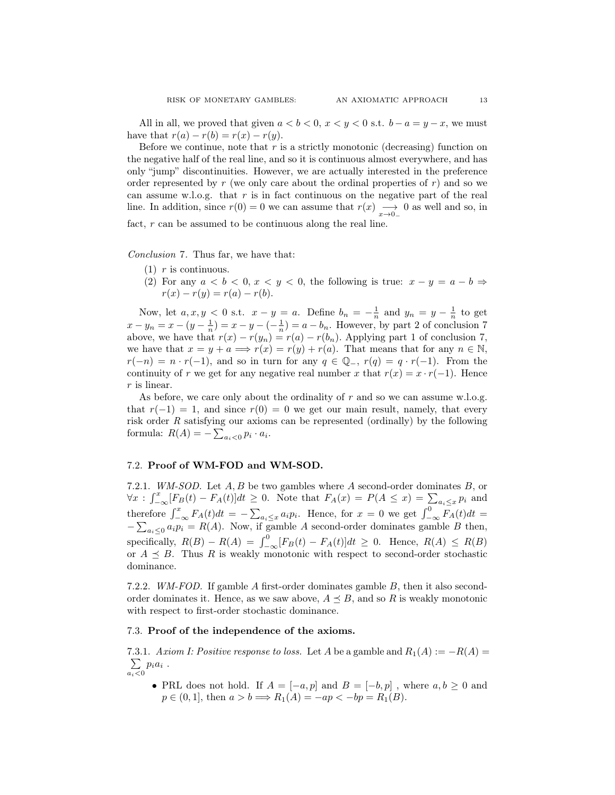All in all, we proved that given  $a < b < 0$ ,  $x < y < 0$  s.t.  $b - a = y - x$ , we must have that  $r(a) - r(b) = r(x) - r(y)$ .

Before we continue, note that  $r$  is a strictly monotonic (decreasing) function on the negative half of the real line, and so it is continuous almost everywhere, and has only "jump" discontinuities. However, we are actually interested in the preference order represented by  $r$  (we only care about the ordinal properties of  $r$ ) and so we can assume w.l.o.g. that  $r$  is in fact continuous on the negative part of the real line. In addition, since  $r(0) = 0$  we can assume that  $r(x) \longrightarrow 0$  as well and so, in

fact, r can be assumed to be continuous along the real line.

Conclusion 7. Thus far, we have that:

- $(1)$  r is continuous.
- (2) For any  $a < b < 0$ ,  $x < y < 0$ , the following is true:  $x y = a b \Rightarrow$  $r(x) - r(y) = r(a) - r(b).$

Now, let  $a, x, y < 0$  s.t.  $x - y = a$ . Define  $b_n = -\frac{1}{n}$  and  $y_n = y - \frac{1}{n}$  to get  $x - y_n = x - (y - \frac{1}{n}) = x - y - (-\frac{1}{n}) = a - b_n$ . However, by part 2 of conclusion 7 above, we have that  $r(x) - r(y_n) = r(a) - r(b_n)$ . Applying part 1 of conclusion 7, we have that  $x = y + a \Longrightarrow r(x) = r(y) + r(a)$ . That means that for any  $n \in \mathbb{N}$ ,  $r(-n) = n \cdot r(-1)$ , and so in turn for any  $q \in \mathbb{Q}_-$ ,  $r(q) = q \cdot r(-1)$ . From the continuity of r we get for any negative real number x that  $r(x) = x \cdot r(-1)$ . Hence r is linear.

As before, we care only about the ordinality of  $r$  and so we can assume w.l.o.g. that  $r(-1) = 1$ , and since  $r(0) = 0$  we get our main result, namely, that every risk order  $R$  satisfying our axioms can be represented (ordinally) by the following formula:  $R(A) = -\sum_{a_i < 0} p_i \cdot a_i$ .

#### 7.2. Proof of WM-FOD and WM-SOD.

7.2.1. WM-SOD. Let  $A, B$  be two gambles where  $A$  second-order dominates  $B$ , or  $\forall x: \int_{-\infty}^x [F_B(t) - F_A(t)]dt \geq 0.$  Note that  $F_A(x) = P(A \leq x) = \sum_{\alpha_i \leq x} p_i$  and therefore  $\int_{-\infty}^{x} F_A(t)dt = -\sum_{a_i \leq x} a_i p_i$ . Hence, for  $x = 0$  we get  $\int_{-\infty}^{0} F_A(t)dt =$  $-\sum_{a_i\leq 0} a_i p_i = R(A)$ . Now, if gamble A second-order dominates gamble B then, specifically,  $R(B) - R(A) = \int_{-\infty}^{0} [F_B(t) - F_A(t)]dt \geq 0$ . Hence,  $R(A) \leq R(B)$ or  $A \preceq B$ . Thus R is weakly monotonic with respect to second-order stochastic dominance.

7.2.2. WM-FOD. If gamble A first-order dominates gamble B, then it also secondorder dominates it. Hence, as we saw above,  $A \preceq B$ , and so R is weakly monotonic with respect to first-order stochastic dominance.

#### 7.3. Proof of the independence of the axioms.

7.3.1. Axiom I: Positive response to loss. Let A be a gamble and  $R_1(A) := -R(A) =$  $\sum$  $\sum_{a_i<0} p_i a_i$ .

• PRL does not hold. If  $A = [-a, p]$  and  $B = [-b, p]$ , where  $a, b \geq 0$  and  $p \in (0, 1]$ , then  $a > b \implies R_1(A) = -ap < -bp = R_1(B)$ .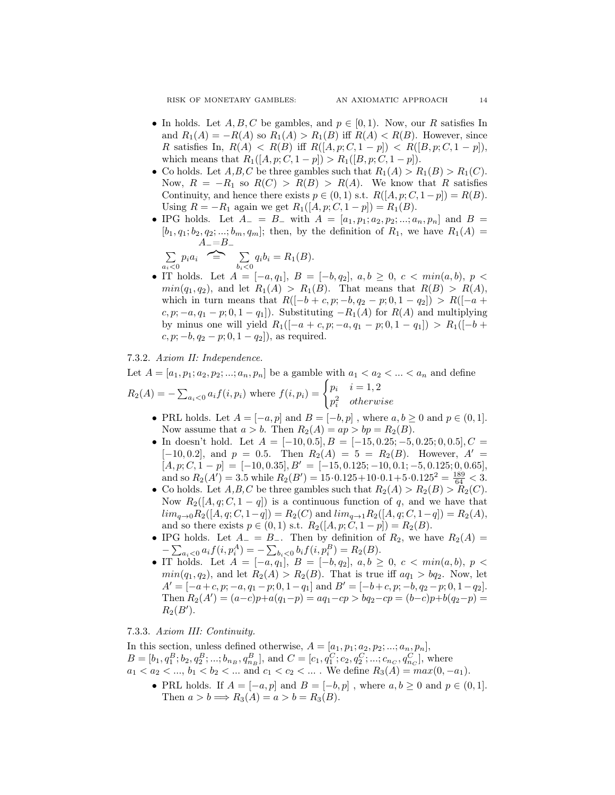RISK OF MONETARY GAMBLES: AN AXIOMATIC APPROACH 14

- In holds. Let  $A, B, C$  be gambles, and  $p \in [0, 1)$ . Now, our R satisfies In and  $R_1(A) = -R(A)$  so  $R_1(A) > R_1(B)$  iff  $R(A) < R(B)$ . However, since R satisfies In,  $R(A) < R(B)$  iff  $R([A, p; C, 1-p]) < R([B, p; C, 1-p])$ , which means that  $R_1([A, p; C, 1-p]) > R_1([B, p; C, 1-p]).$
- Co holds. Let  $A, B, C$  be three gambles such that  $R_1(A) > R_1(B) > R_1(C)$ . Now,  $R = -R_1$  so  $R(C) > R(B) > R(A)$ . We know that R satisfies Continuity, and hence there exists  $p \in (0, 1)$  s.t.  $R([A, p; C, 1-p]) = R(B)$ . Using  $R = -R_1$  again we get  $R_1([A, p; C, 1-p]) = R_1(B)$ .
- IPG holds. Let  $A_ = B_ -$  with  $A = [a_1, p_1; a_2, p_2; ...; a_n, p_n]$  and  $B =$  $[b_1, q_1; b_2, q_2; ...; b_m, q_m];$  then, by the definition of  $R_1$ , we have  $R_1(A)$  $A_-=B_-\$

$$
\sum_{a_i<0} p_i a_i \quad \implies \quad \sum_{b_i<0} q_i b_i = R_1(B).
$$

• IT holds. Let  $A = [-a, q_1], B = [-b, q_2], a, b \geq 0, c < min(a, b), p <$  $min(q_1, q_2)$ , and let  $R_1(A) > R_1(B)$ . That means that  $R(B) > R(A)$ , which in turn means that  $R([-b + c, p; -b, q_2 - p; 0, 1 - q_2]) > R([-a +$  $c, p; -a, q_1 - p; 0, 1 - q_1$ . Substituting  $-R_1(A)$  for  $R(A)$  and multiplying by minus one will yield  $R_1([-a + c, p; -a, q_1 - p; 0, 1 - q_1]) > R_1([-b +$  $c, p; -b, q_2 - p; 0, 1 - q_2]$ , as required.

#### 7.3.2. Axiom II: Independence.

Let  $A = [a_1, p_1; a_2, p_2; ...; a_n, p_n]$  be a gamble with  $a_1 < a_2 < ... < a_n$  and define

$$
R_2(A) = -\sum_{a_i < 0} a_i f(i, p_i) \text{ where } f(i, p_i) = \begin{cases} p_i & i = 1, 2 \\ p_i^2 & \text{otherwise} \end{cases}
$$

- PRL holds. Let  $A = [-a, p]$  and  $B = [-b, p]$ , where  $a, b \ge 0$  and  $p \in (0, 1]$ . Now assume that  $a > b$ . Then  $R_2(A) = ap > bp = R_2(B)$ .
- In doesn't hold. Let  $A = [-10, 0.5], B = [-15, 0.25; -5, 0.25; 0, 0.5], C =$ [-10, 0.2], and  $p = 0.5$ . Then  $R_2(A) = 5 = R_2(B)$ . However,  $A' =$  $[A, p; C, 1 - p] = [-10, 0.35], B' = [-15, 0.125; -10, 0.1; -5, 0.125; 0, 0.65],$ and so  $R_2(A') = 3.5$  while  $R_2(B') = 15 \cdot 0.125 + 10 \cdot 0.1 + 5 \cdot 0.125^2 = \frac{189}{64} < 3.5$
- Co holds. Let  $A, B, C$  be three gambles such that  $R_2(A) > R_2(B) > R_2(C)$ . Now  $R_2([A, q; C, 1 - q])$  is a continuous function of q, and we have that  $\lim_{q \to 0} R_2([A, q; C, 1-q]) = R_2(C)$  and  $\lim_{q \to 1} R_2([A, q; C, 1-q]) = R_2(A),$ and so there exists  $p \in (0,1)$  s.t.  $R_2([A, p; C, 1-p]) = R_2(B)$ .
- IPG holds. Let  $A_ = B_ -$ . Then by definition of  $R_2$ , we have  $R_2(A) =$  $-\sum_{a_i<0} a_i f(i, p_i^A) = -\sum_{b_i<0} b_i f(i, p_i^B) = R_2(B).$
- IT holds. Let  $A = [-a, q_1], B = [-b, q_2], a, b \geq 0, c < min(a, b), p <$  $min(q_1, q_2)$ , and let  $R_2(A) > R_2(B)$ . That is true iff  $aq_1 > bq_2$ . Now, let  $A' = [-a+c, p; -a, q_1 - p; 0, 1 - q_1]$  and  $B' = [-b+c, p; -b, q_2 - p; 0, 1 - q_2].$ Then  $R_2(A') = (a-c)p + a(q_1-p) = aq_1-cp > bq_2-cp = (b-c)p + b(q_2-p) =$  $R_2(B')$ .

#### 7.3.3. Axiom III: Continuity.

In this section, unless defined otherwise,  $A = [a_1, p_1; a_2, p_2; \dots; a_n, p_n]$ ,  $B = [b_1, q_1^B; b_2, q_2^B; \dots; b_{n_B}, q_{n_B}^B]$ , and  $C = [c_1, q_1^C; c_2, q_2^C; \dots; c_{n_C}, q_{n_C}^C]$ , where  $a_1 < a_2 < ..., b_1 < b_2 < ...$  and  $c_1 < c_2 < ...$ . We define  $R_3(A) = max(0, -a_1)$ .

• PRL holds. If  $A = [-a, p]$  and  $B = [-b, p]$ , where  $a, b \ge 0$  and  $p \in (0, 1]$ . Then  $a > b \Longrightarrow R_3(A) = a > b = R_3(B)$ .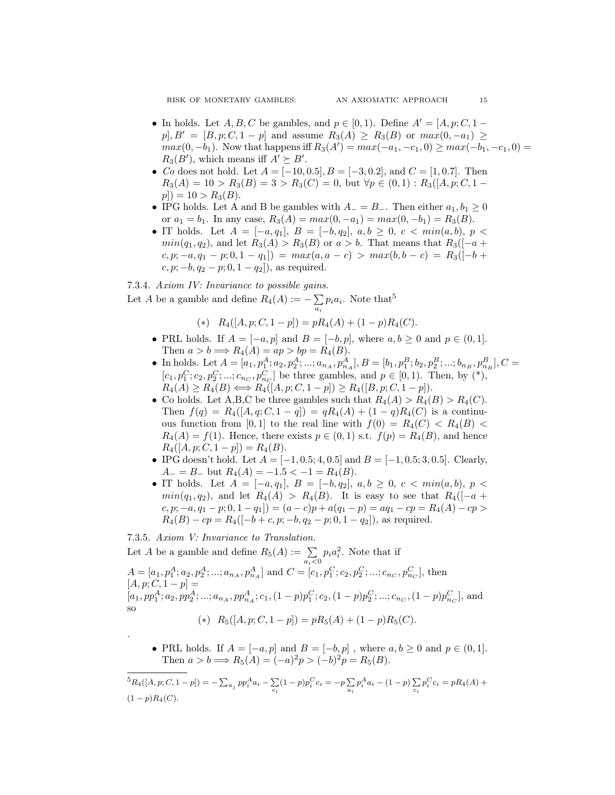- In holds. Let  $A, B, C$  be gambles, and  $p \in [0, 1)$ . Define  $A' = [A, p; C, 1$  $p, B' = [B, p; C, 1 - p]$  and assume  $R_3(A) \ge R_3(B)$  or  $max(0, -a_1) \ge$  $max(0, -b_1)$ . Now that happens iff  $R_3(A') = max(-a_1, -c_1, 0) \ge max(-b_1, -c_1, 0) =$  $R_3(B')$ , which means iff  $A' \succeq B'$ .
- Co does not hold. Let  $A = [-10, 0.5], B = [-3, 0.2],$  and  $C = [1, 0.7].$  Then  $R_3(A) = 10 > R_3(B) = 3 > R_3(C) = 0$ , but  $\forall p \in (0,1) : R_3([A, p; C, 1$  $p|) = 10 > R_3(B).$
- IPG holds. Let A and B be gambles with  $A_ = B_ -$ . Then either  $a_1, b_1 \geq 0$ or  $a_1 = b_1$ . In any case,  $R_3(A) = max(0, -a_1) = max(0, -b_1) = R_3(B)$ .
- IT holds. Let  $A = [-a, q_1], B = [-b, q_2], a, b \geq 0, c < min(a, b), p <$  $min(q_1, q_2)$ , and let  $R_3(A) > R_3(B)$  or  $a > b$ . That means that  $R_3([-a + b]$  $(c, p; -a, q_1 - p; 0, 1 - q_1) = max(a, a - c) > max(b, b - c) = R_3([-b + c])$  $c, p; -b, q_2 - p; 0, 1 - q_2$ , as required.

#### 7.3.4. Axiom IV: Invariance to possible gains.

Let A be a gamble and define  $R_4(A) := -\sum$  $\sum_{a_i} p_i a_i$ . Note that<sup>5</sup>

(\*) 
$$
R_4([A, p; C, 1-p]) = pR_4(A) + (1-p)R_4(C).
$$

- PRL holds. If  $A = [-a, p]$  and  $B = [-b, p]$ , where  $a, b \ge 0$  and  $p \in (0, 1]$ . Then  $a > b \Longrightarrow R_4(A) = ap > bp = R_4(B)$ .
- In holds. Let  $A = [a_1, p_1^A; a_2, p_2^A; \dots; a_{n_A}, p_{n_A}^A], B = [b_1, p_1^B; b_2, p_2^B; \dots; b_{n_B}, p_{n_B}^B], C =$  $[c_1, p_1^C; c_2, p_2^C; \dots; c_{n_C}, p_{n_C}^C]$  be three gambles, and  $p \in [0, 1)$ . Then, by (\*),  $R_4(A) \ge R_4(B) \Longleftrightarrow R_4([A, p; C, 1-p]) \ge R_4([B, p; C, 1-p]).$
- Co holds. Let A,B,C be three gambles such that  $R_4(A) > R_4(B) > R_4(C)$ . Then  $f(q) = R_4([A, q; C, 1 - q]) = qR_4(A) + (1 - q)R_4(C)$  is a continuous function from [0,1] to the real line with  $f(0) = R_4(C) < R_4(B)$  $R_4(A) = f(1)$ . Hence, there exists  $p \in (0,1)$  s.t.  $f(p) = R_4(B)$ , and hence  $R_4([A, p; C, 1-p]) = R_4(B).$
- IPG doesn't hold. Let  $A = [-1, 0.5; 4, 0.5]$  and  $B = [-1, 0.5; 3, 0.5]$ . Clearly,  $A_{-} = B_{-}$  but  $R_4(A) = -1.5 < -1 = R_4(B)$ .
- IT holds. Let  $A = [-a, q_1], B = [-b, q_2], a, b \geq 0, c < min(a, b), p <$  $min(q_1, q_2)$ , and let  $R_4(A) > R_4(B)$ . It is easy to see that  $R_4([-a +$  $(c, p; -a, q_1 - p; 0, 1 - q_1]) = (a - c)p + a(q_1 - p) = aq_1 - cp = R_4(A) - cp >$  $R_4(B) - cp = R_4([-b+c, p; -b, q_2 - p; 0, 1 - q_2]),$  as required.

#### 7.3.5. Axiom V: Invariance to Translation.

.

Let A be a gamble and define  $R_5(A) := \sum_{a_i < 0} p_i a_i^2$ . Note that if  $A = [a_1, p_1^A; a_2, p_2^A; \dots; a_{n_A}, p_{n_A}^A]$  and  $C = [c_1, p_1^C; c_2, p_2^C; \dots; c_{n_C}, p_{n_C}^C]$ , then  $[A, p; C, 1-p] =$  $[a_1, pp_1^A; a_2, pp_2^A; \dots; a_{n_A}, pp_{n_A}^A; c_1, (1-p)p_1^C; c_2, (1-p)p_2^C; \dots; c_{n_C}, (1-p)p_{n_C}^C]$ , and so (\*)  $R_5([A, p; C, 1-p]) = pR_5(A) + (1-p)R_5(C).$ 

• PRL holds. If  $A = [-a, p]$  and  $B = [-b, p]$ , where  $a, b \ge 0$  and  $p \in (0, 1]$ . Then  $a > b \implies R_5(A) = (-a)^2 p > (-b)^2 p = R_5(B)$ .

 ${}^{5}R_{4}([A,p;C,1-p]) = -\sum_{a_j} pp_{i}^{A}a_{i} - \sum_{j}$  $\sum_{c_i} (1-p) p_i^C c_i = -p \sum_{a_i}$  $\sum_{a_i} p_i^A a_i - (1-p) \sum_{c_i}$  $\sum_{c_i} p_i^C c_i = pR_4(A) +$  $(1-p)R_4(C)$ .